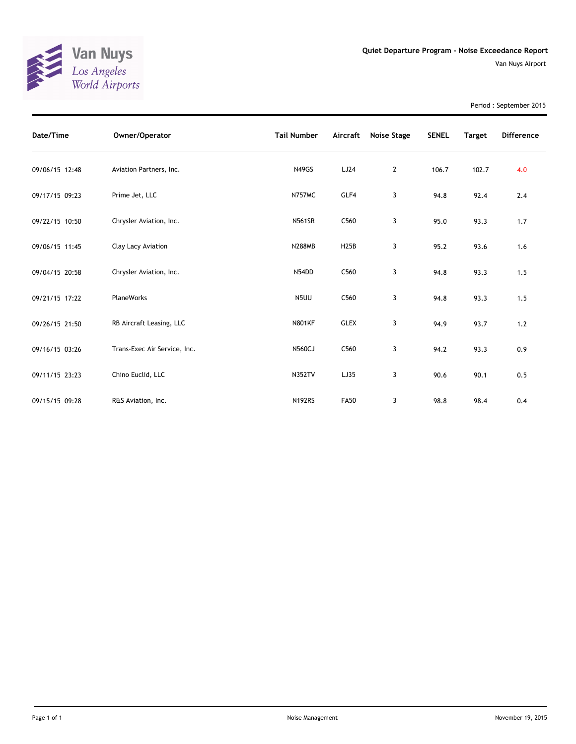

Period : September 2015

| Date/Time      | Owner/Operator               | <b>Tail Number</b> | Aircraft    | <b>Noise Stage</b> | <b>SENEL</b> | <b>Target</b> | <b>Difference</b> |
|----------------|------------------------------|--------------------|-------------|--------------------|--------------|---------------|-------------------|
| 09/06/15 12:48 | Aviation Partners, Inc.      | <b>N49GS</b>       | LJ24        | 2                  | 106.7        | 102.7         | 4.0               |
| 09/17/15 09:23 | Prime Jet, LLC               | <b>N757MC</b>      | GLF4        | 3                  | 94.8         | 92.4          | 2.4               |
| 09/22/15 10:50 | Chrysler Aviation, Inc.      | <b>N561SR</b>      | C560        | 3                  | 95.0         | 93.3          | 1.7               |
| 09/06/15 11:45 | Clay Lacy Aviation           | <b>N288MB</b>      | H25B        | 3                  | 95.2         | 93.6          | 1.6               |
| 09/04/15 20:58 | Chrysler Aviation, Inc.      | N54DD              | C560        | 3                  | 94.8         | 93.3          | 1.5               |
| 09/21/15 17:22 | <b>PlaneWorks</b>            | N5UU               | C560        | 3                  | 94.8         | 93.3          | 1.5               |
| 09/26/15 21:50 | RB Aircraft Leasing, LLC     | <b>N801KF</b>      | <b>GLEX</b> | 3                  | 94.9         | 93.7          | 1.2               |
| 09/16/15 03:26 | Trans-Exec Air Service, Inc. | <b>N560CJ</b>      | C560        | 3                  | 94.2         | 93.3          | 0.9               |
| 09/11/15 23:23 | Chino Euclid, LLC            | <b>N352TV</b>      | LJ35        | 3                  | 90.6         | 90.1          | 0.5               |
| 09/15/15 09:28 | R&S Aviation, Inc.           | <b>N192RS</b>      | <b>FA50</b> | 3                  | 98.8         | 98.4          | 0.4               |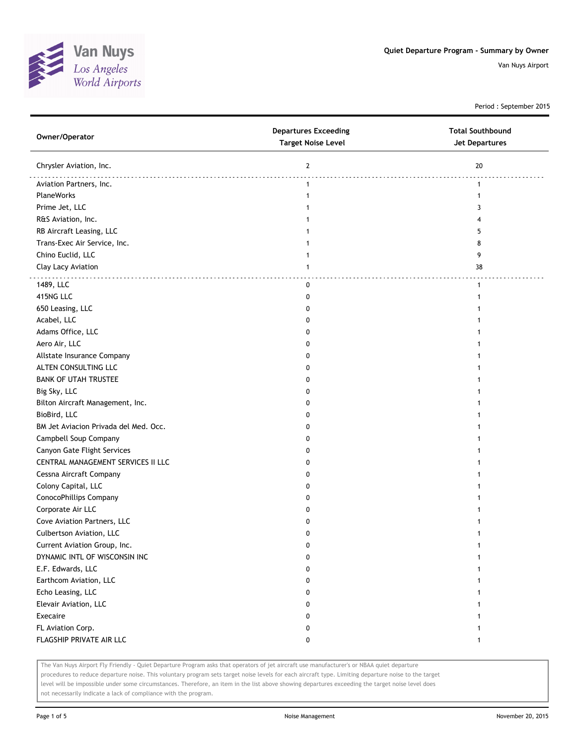

Period : September 2015

| Owner/Operator                        | <b>Departures Exceeding</b><br><b>Target Noise Level</b> | <b>Total Southbound</b><br><b>Jet Departures</b> |  |  |
|---------------------------------------|----------------------------------------------------------|--------------------------------------------------|--|--|
| Chrysler Aviation, Inc.               | $\mathbf{2}$                                             | 20                                               |  |  |
| Aviation Partners, Inc.               | $\mathbf{1}$                                             | 1                                                |  |  |
| PlaneWorks                            | $\mathbf{1}$                                             | $\mathbf{1}$                                     |  |  |
| Prime Jet, LLC                        |                                                          | 3                                                |  |  |
| R&S Aviation, Inc.                    |                                                          | 4                                                |  |  |
| RB Aircraft Leasing, LLC              |                                                          | 5                                                |  |  |
| Trans-Exec Air Service, Inc.          | 1                                                        | 8                                                |  |  |
| Chino Euclid, LLC                     | 1                                                        | 9                                                |  |  |
| Clay Lacy Aviation                    | 1                                                        | 38                                               |  |  |
| 1489, LLC                             | 0                                                        | $\mathbf{1}$                                     |  |  |
| 415NG LLC                             | 0                                                        | 1                                                |  |  |
| 650 Leasing, LLC                      | 0                                                        | 1                                                |  |  |
| Acabel, LLC                           | 0                                                        | 1                                                |  |  |
| Adams Office, LLC                     | 0                                                        | 1                                                |  |  |
| Aero Air, LLC                         | 0                                                        | 1                                                |  |  |
| Allstate Insurance Company            | 0                                                        | 1                                                |  |  |
| ALTEN CONSULTING LLC                  | 0                                                        | 1                                                |  |  |
| <b>BANK OF UTAH TRUSTEE</b>           | 0                                                        | 1                                                |  |  |
| Big Sky, LLC                          | 0                                                        | 1                                                |  |  |
| Bilton Aircraft Management, Inc.      | 0                                                        |                                                  |  |  |
| BioBird, LLC                          | 0                                                        | 1                                                |  |  |
| BM Jet Aviacion Privada del Med. Occ. | 0                                                        |                                                  |  |  |
| Campbell Soup Company                 | 0                                                        | 1                                                |  |  |
| Canyon Gate Flight Services           | 0                                                        | 1                                                |  |  |
| CENTRAL MANAGEMENT SERVICES II LLC    | 0                                                        | 1                                                |  |  |
| Cessna Aircraft Company               | 0                                                        | 1                                                |  |  |
| Colony Capital, LLC                   | 0                                                        | 1                                                |  |  |
| ConocoPhillips Company                | 0                                                        |                                                  |  |  |
| Corporate Air LLC                     | 0                                                        |                                                  |  |  |
| Cove Aviation Partners, LLC           | 0                                                        |                                                  |  |  |
| Culbertson Aviation, LLC              | 0                                                        | 1                                                |  |  |
| Current Aviation Group, Inc.          | 0                                                        |                                                  |  |  |
| DYNAMIC INTL OF WISCONSIN INC         | 0                                                        | 1                                                |  |  |
| E.F. Edwards, LLC                     | 0                                                        | 1                                                |  |  |
| Earthcom Aviation, LLC                | 0                                                        | 1                                                |  |  |
| Echo Leasing, LLC                     | 0                                                        | 1                                                |  |  |
| Elevair Aviation, LLC                 | 0                                                        | 1                                                |  |  |
| Execaire                              | 0                                                        | 1                                                |  |  |
| FL Aviation Corp.                     | 0                                                        | 1                                                |  |  |
| FLAGSHIP PRIVATE AIR LLC              | 0                                                        | $\mathbf{1}$                                     |  |  |
|                                       |                                                          |                                                  |  |  |

The Van Nuys Airport Fly Friendly - Quiet Departure Program asks that operators of jet aircraft use manufacturer's or NBAA quiet departure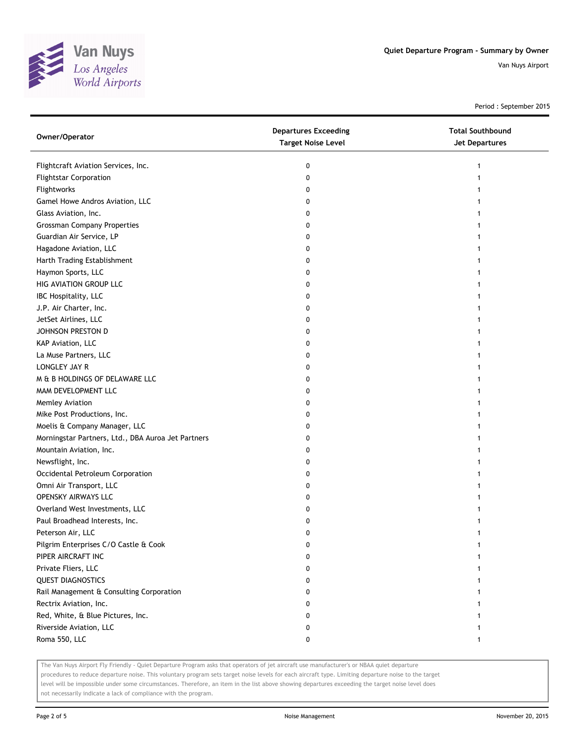

Period : September 2015

| Owner/Operator                                     | <b>Departures Exceeding</b><br><b>Target Noise Level</b> | <b>Total Southbound</b><br><b>Jet Departures</b> |
|----------------------------------------------------|----------------------------------------------------------|--------------------------------------------------|
| Flightcraft Aviation Services, Inc.                | 0                                                        | 1                                                |
| <b>Flightstar Corporation</b>                      | 0                                                        | 1                                                |
| Flightworks                                        | 0                                                        |                                                  |
| Gamel Howe Andros Aviation, LLC                    | 0                                                        |                                                  |
| Glass Aviation, Inc.                               | 0                                                        |                                                  |
| <b>Grossman Company Properties</b>                 | 0                                                        |                                                  |
| Guardian Air Service, LP                           | 0                                                        |                                                  |
| Hagadone Aviation, LLC                             | 0                                                        |                                                  |
| Harth Trading Establishment                        | 0                                                        |                                                  |
| Haymon Sports, LLC                                 | 0                                                        |                                                  |
| HIG AVIATION GROUP LLC                             | 0                                                        |                                                  |
| IBC Hospitality, LLC                               | 0                                                        |                                                  |
| J.P. Air Charter, Inc.                             | 0                                                        |                                                  |
| JetSet Airlines, LLC                               | 0                                                        |                                                  |
| JOHNSON PRESTON D                                  | 0                                                        |                                                  |
| KAP Aviation, LLC                                  | 0                                                        |                                                  |
| La Muse Partners, LLC                              | 0                                                        | 1                                                |
| LONGLEY JAY R                                      | 0                                                        |                                                  |
| M & B HOLDINGS OF DELAWARE LLC                     | 0                                                        |                                                  |
| MAM DEVELOPMENT LLC                                | 0                                                        |                                                  |
| Memley Aviation                                    | 0                                                        |                                                  |
| Mike Post Productions, Inc.                        | 0                                                        |                                                  |
| Moelis & Company Manager, LLC                      | 0                                                        |                                                  |
| Morningstar Partners, Ltd., DBA Auroa Jet Partners | 0                                                        |                                                  |
| Mountain Aviation, Inc.                            | 0                                                        |                                                  |
| Newsflight, Inc.                                   | 0                                                        |                                                  |
| Occidental Petroleum Corporation                   | 0                                                        |                                                  |
| Omni Air Transport, LLC                            | 0                                                        |                                                  |
| <b>OPENSKY AIRWAYS LLC</b>                         | 0                                                        |                                                  |
| Overland West Investments, LLC                     | 0                                                        |                                                  |
| Paul Broadhead Interests, Inc.                     | 0                                                        |                                                  |
| Peterson Air, LLC                                  | 0                                                        |                                                  |
| Pilgrim Enterprises C/O Castle & Cook              | 0                                                        |                                                  |
| PIPER AIRCRAFT INC                                 | 0                                                        |                                                  |
| Private Fliers, LLC                                | O                                                        |                                                  |
| <b>QUEST DIAGNOSTICS</b>                           | 0                                                        |                                                  |
| Rail Management & Consulting Corporation           | 0                                                        |                                                  |
| Rectrix Aviation, Inc.                             | 0                                                        |                                                  |
| Red, White, & Blue Pictures, Inc.                  | 0                                                        |                                                  |
| Riverside Aviation, LLC                            | 0                                                        |                                                  |
| Roma 550, LLC                                      | 0                                                        | 1                                                |

The Van Nuys Airport Fly Friendly - Quiet Departure Program asks that operators of jet aircraft use manufacturer's or NBAA quiet departure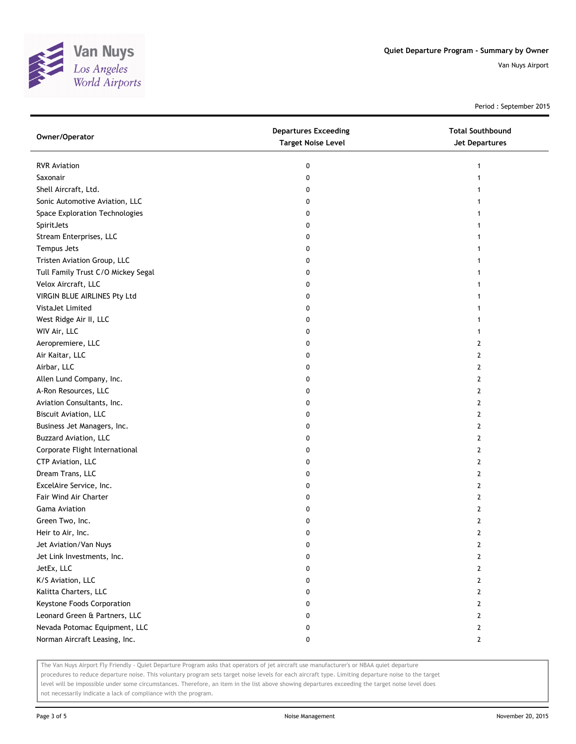

Period : September 2015

| <b>RVR Aviation</b><br>0<br>1                       |  |
|-----------------------------------------------------|--|
|                                                     |  |
| Saxonair<br>0                                       |  |
| Shell Aircraft, Ltd.<br>0                           |  |
| Sonic Automotive Aviation, LLC<br>0                 |  |
| Space Exploration Technologies<br>0                 |  |
| SpiritJets<br>0                                     |  |
| Stream Enterprises, LLC<br>0                        |  |
| Tempus Jets<br>0                                    |  |
| Tristen Aviation Group, LLC<br>0                    |  |
| Tull Family Trust C/O Mickey Segal<br>0             |  |
| Velox Aircraft, LLC<br>0                            |  |
| VIRGIN BLUE AIRLINES Pty Ltd<br>0                   |  |
| VistaJet Limited<br>0                               |  |
| West Ridge Air II, LLC<br>0                         |  |
| WIV Air, LLC<br>0<br>1                              |  |
| Aeropremiere, LLC<br>2<br>0                         |  |
| Air Kaitar, LLC<br>$\mathbf{2}$<br>0                |  |
| Airbar, LLC<br>0<br>2                               |  |
| Allen Lund Company, Inc.<br>0<br>2                  |  |
| A-Ron Resources, LLC<br>0<br>2                      |  |
| Aviation Consultants, Inc.<br>2<br>0                |  |
| <b>Biscuit Aviation, LLC</b><br>2<br>0              |  |
| Business Jet Managers, Inc.<br>0<br>2               |  |
| <b>Buzzard Aviation, LLC</b><br>$\overline{2}$<br>0 |  |
| Corporate Flight International<br>2<br>0            |  |
| CTP Aviation, LLC<br>2<br>0                         |  |
| Dream Trans, LLC<br>$\overline{2}$<br>0             |  |
| ExcelAire Service, Inc.<br>0<br>2                   |  |
| Fair Wind Air Charter<br>$\overline{2}$<br>0        |  |
| <b>Gama Aviation</b><br>$\mathbf{2}$<br>0           |  |
| Green Two, Inc.<br>$\overline{2}$<br>0              |  |
| $\overline{2}$<br>Heir to Air, Inc.<br>0            |  |
| Jet Aviation/Van Nuys<br>o<br>2                     |  |
| Jet Link Investments, Inc.<br>0<br>2                |  |
| JetEx, LLC<br>$\mathbf{2}$<br>0                     |  |
| K/S Aviation, LLC<br>$\mathbf{2}$<br>0              |  |
| Kalitta Charters, LLC<br>$\mathbf{2}$<br>0          |  |
| Keystone Foods Corporation<br>0<br>$\mathbf{2}$     |  |
| Leonard Green & Partners, LLC<br>$\mathbf{2}$<br>0  |  |
| Nevada Potomac Equipment, LLC<br>0<br>$\mathbf{2}$  |  |
| Norman Aircraft Leasing, Inc.<br>0<br>$\mathbf{2}$  |  |

The Van Nuys Airport Fly Friendly - Quiet Departure Program asks that operators of jet aircraft use manufacturer's or NBAA quiet departure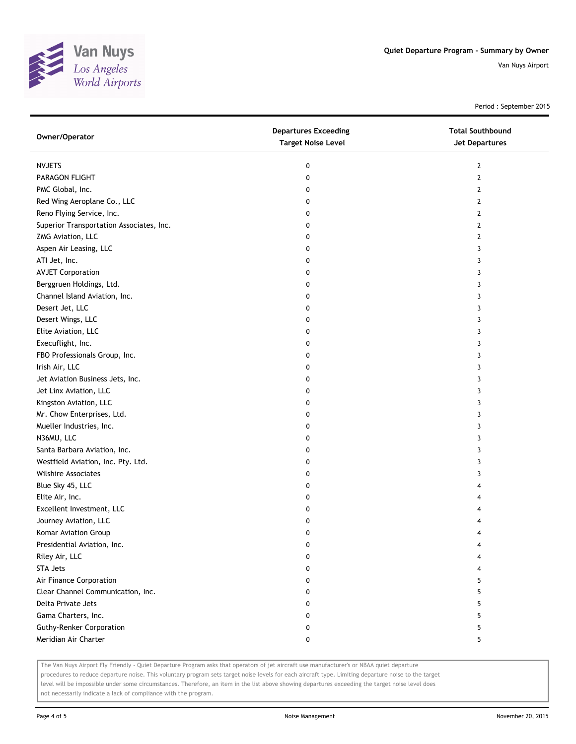

Period : September 2015

| Owner/Operator                           | <b>Departures Exceeding</b><br><b>Target Noise Level</b> | <b>Total Southbound</b><br>Jet Departures |  |  |
|------------------------------------------|----------------------------------------------------------|-------------------------------------------|--|--|
| <b>NVJETS</b>                            | 0                                                        | $\overline{2}$                            |  |  |
| PARAGON FLIGHT                           | 0                                                        | $\overline{2}$                            |  |  |
| PMC Global, Inc.                         | 0                                                        | $\overline{2}$                            |  |  |
| Red Wing Aeroplane Co., LLC              | 0                                                        | 2                                         |  |  |
| Reno Flying Service, Inc.                | 0                                                        | 2                                         |  |  |
| Superior Transportation Associates, Inc. | 0                                                        | $\overline{2}$                            |  |  |
| ZMG Aviation, LLC                        | 0                                                        | 2                                         |  |  |
| Aspen Air Leasing, LLC                   | 0                                                        | 3                                         |  |  |
| ATI Jet, Inc.                            | 0                                                        | 3                                         |  |  |
| <b>AVJET Corporation</b>                 | 0                                                        | 3                                         |  |  |
| Berggruen Holdings, Ltd.                 | 0                                                        | 3                                         |  |  |
| Channel Island Aviation, Inc.            | 0                                                        | 3                                         |  |  |
| Desert Jet, LLC                          | 0                                                        | 3                                         |  |  |
| Desert Wings, LLC                        | 0                                                        | 3                                         |  |  |
| Elite Aviation, LLC                      | 0                                                        | 3                                         |  |  |
| Execuflight, Inc.                        | 0                                                        | 3                                         |  |  |
| FBO Professionals Group, Inc.            | 0                                                        | 3                                         |  |  |
| Irish Air, LLC                           | 0                                                        | 3                                         |  |  |
| Jet Aviation Business Jets, Inc.         | 0                                                        | 3                                         |  |  |
| Jet Linx Aviation, LLC                   | 0                                                        | 3                                         |  |  |
| Kingston Aviation, LLC                   | 0                                                        | 3                                         |  |  |
| Mr. Chow Enterprises, Ltd.               | 0                                                        | 3                                         |  |  |
| Mueller Industries, Inc.                 | 0                                                        | 3                                         |  |  |
| N36MU, LLC                               | 0                                                        | 3                                         |  |  |
| Santa Barbara Aviation, Inc.             | 0                                                        | 3                                         |  |  |
| Westfield Aviation, Inc. Pty. Ltd.       | 0                                                        | 3                                         |  |  |
| <b>Wilshire Associates</b>               | 0                                                        | 3                                         |  |  |
| Blue Sky 45, LLC                         | 0                                                        | 4                                         |  |  |
| Elite Air, Inc.                          | 0                                                        | 4                                         |  |  |
| Excellent Investment, LLC                | 0                                                        | 4                                         |  |  |
| Journey Aviation, LLC                    | 0                                                        | 4                                         |  |  |
| Komar Aviation Group                     | 0                                                        | 4                                         |  |  |
| Presidential Aviation, Inc.              | 0                                                        | 4                                         |  |  |
| Riley Air, LLC                           | 0                                                        |                                           |  |  |
| <b>STA Jets</b>                          | 0                                                        |                                           |  |  |
| Air Finance Corporation                  | 0                                                        | 5                                         |  |  |
| Clear Channel Communication, Inc.        | 0                                                        | 5                                         |  |  |
| Delta Private Jets                       | 0                                                        | 5                                         |  |  |
| Gama Charters, Inc.                      | 0                                                        | 5                                         |  |  |
| <b>Guthy-Renker Corporation</b>          | 0                                                        | 5                                         |  |  |
| Meridian Air Charter                     | 0                                                        | 5                                         |  |  |

The Van Nuys Airport Fly Friendly - Quiet Departure Program asks that operators of jet aircraft use manufacturer's or NBAA quiet departure